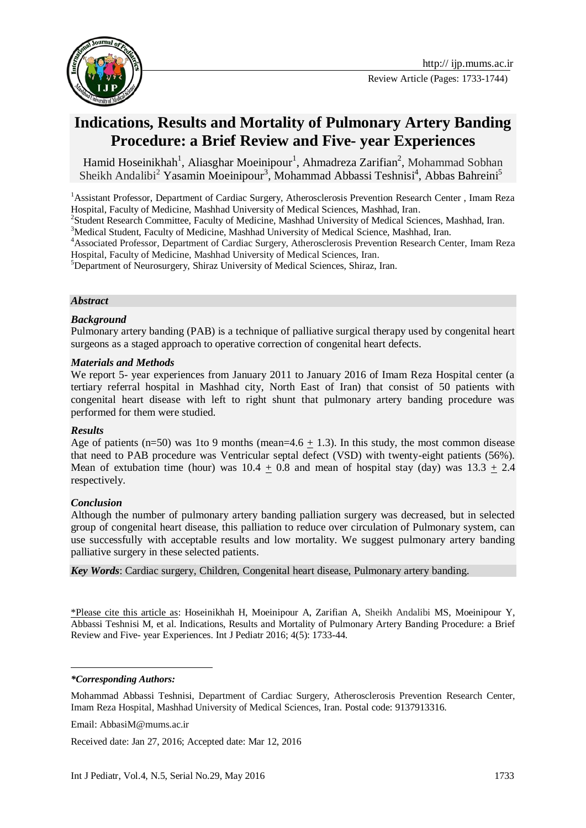

Review Article (Pages: 1733-1744)

# **Indications, Results and Mortality of Pulmonary Artery Banding Procedure: a Brief Review and Five- year Experiences**

Hamid Hoseinikhah<sup>1</sup>, Aliasghar Moeinipour<sup>1</sup>, Ahmadreza Zarifian<sup>2</sup>, Mohammad Sobhan Sheikh Andalibi<sup>2</sup> Yasamin Moeinipour<sup>3</sup>, Mohammad Abbassi Teshnisi<sup>4</sup>, Abbas Bahreini<sup>5</sup>

<sup>1</sup>Assistant Professor, Department of Cardiac Surgery, Atherosclerosis Prevention Research Center, Imam Reza Hospital, Faculty of Medicine, Mashhad University of Medical Sciences, Mashhad, Iran.

<sup>2</sup>Student Research Committee, Faculty of Medicine, Mashhad University of Medical Sciences, Mashhad, Iran.

<sup>3</sup>Medical Student. Faculty of Medicine, Mashhad University of Medical Science, Mashhad, Iran.

<sup>4</sup>Associated Professor, Department of Cardiac Surgery, Atherosclerosis Prevention Research Center, Imam Reza Hospital, Faculty of Medicine, Mashhad University of Medical Sciences, Iran.

<sup>5</sup>Department of Neurosurgery, Shiraz University of Medical Sciences, Shiraz, Iran.

#### *Abstract*

#### *Background*

Pulmonary artery banding (PAB) is a technique of palliative surgical therapy used by congenital heart surgeons as a staged approach to operative correction of congenital heart defects.

#### *Materials and Methods*

We report 5- year experiences from January 2011 to January 2016 of Imam Reza Hospital center (a tertiary referral hospital in Mashhad city, North East of Iran) that consist of 50 patients with congenital heart disease with left to right shunt that pulmonary artery banding procedure was performed for them were studied.

#### *Results*

Age of patients (n=50) was 1to 9 months (mean=4.6  $\pm$  1.3). In this study, the most common disease that need to PAB procedure was Ventricular septal defect (VSD) with twenty-eight patients (56%). Mean of extubation time (hour) was  $10.4 + 0.8$  and mean of hospital stay (day) was  $13.3 + 2.4$ respectively.

#### *Conclusion*

Although the number of pulmonary artery banding palliation surgery was decreased, but in selected group of congenital heart disease, this palliation to reduce over circulation of Pulmonary system, can use successfully with acceptable results and low mortality. We suggest pulmonary artery banding palliative surgery in these selected patients.

*Key Words*: Cardiac surgery, Children, Congenital heart disease, Pulmonary artery banding.

\*Please cite this article as: Hoseinikhah H, Moeinipour A, Zarifian A, Sheikh Andalibi MS, Moeinipour Y, Abbassi Teshnisi M, et al. Indications, Results and Mortality of Pulmonary Artery Banding Procedure: a Brief Review and Five- year Experiences. Int J Pediatr 2016; 4(5): 1733-44.

-

Received date: Jan 27, 2016; Accepted date: Mar 12, 2016

*<sup>\*</sup>Corresponding Authors:*

Mohammad Abbassi Teshnisi, Department of Cardiac Surgery, Atherosclerosis Prevention Research Center, Imam Reza Hospital, Mashhad University of Medical Sciences, Iran. Postal code: 9137913316.

Email: [AbbasiM@mums.ac.ir](mailto:AbbasiM@mums.ac.ir)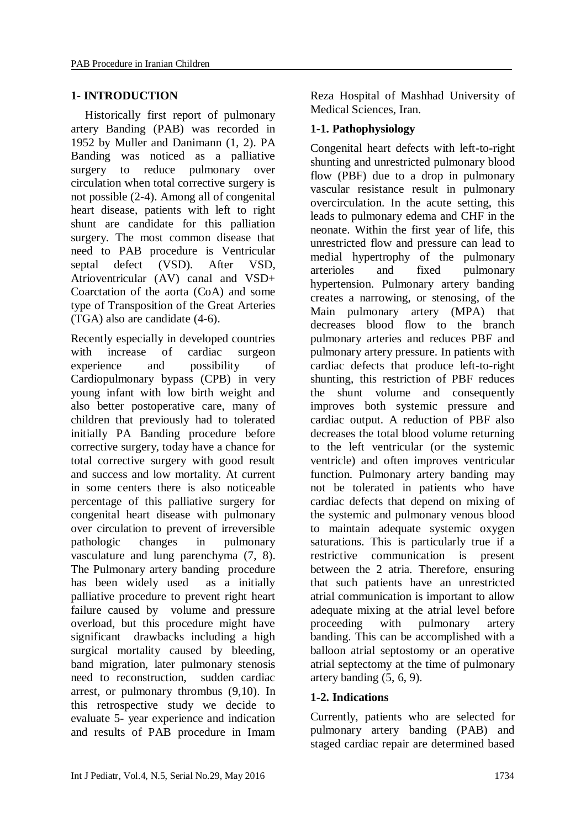#### **1- INTRODUCTION**

Historically first report of pulmonary artery Banding (PAB) was recorded in 1952 by Muller and Danimann (1, 2). PA Banding was noticed as a palliative surgery to reduce pulmonary over circulation when total corrective surgery is not possible (2-4). Among all of congenital heart disease, patients with left to right shunt are candidate for this palliation surgery. The most common disease that need to PAB procedure is Ventricular septal defect (VSD). After VSD, Atrioventricular (AV) canal and VSD+ Coarctation of the aorta (CoA) and some type of Transposition of the Great Arteries (TGA) also are candidate (4-6).

Recently especially in developed countries with increase of cardiac surgeon experience and possibility of Cardiopulmonary bypass (CPB) in very young infant with low birth weight and also better postoperative care, many of children that previously had to tolerated initially PA Banding procedure before corrective surgery, today have a chance for total corrective surgery with good result and success and low mortality. At current in some centers there is also noticeable percentage of this palliative surgery for congenital heart disease with pulmonary over circulation to prevent of irreversible pathologic changes in pulmonary vasculature and lung parenchyma (7, 8). The Pulmonary artery banding procedure has been widely used as a initially palliative procedure to prevent right heart failure caused by volume and pressure overload, but this procedure might have significant drawbacks including a high surgical mortality caused by bleeding, band migration, later pulmonary stenosis need to reconstruction, sudden cardiac arrest, or pulmonary thrombus (9,10). In this retrospective study we decide to evaluate 5- year experience and indication and results of PAB procedure in Imam Reza Hospital of Mashhad University of Medical Sciences, Iran.

### **1-1. Pathophysiology**

Congenital heart defects with left-to-right shunting and unrestricted pulmonary blood flow (PBF) due to a drop in pulmonary vascular resistance result in pulmonary overcirculation. In the acute setting, this leads to pulmonary edema and CHF in the neonate. Within the first year of life, this unrestricted flow and pressure can lead to medial hypertrophy of the pulmonary arterioles and fixed pulmonary hypertension. Pulmonary artery banding creates a narrowing, or stenosing, of the Main pulmonary artery (MPA) that decreases blood flow to the branch pulmonary arteries and reduces PBF and pulmonary artery pressure. In patients with cardiac defects that produce left-to-right shunting, this restriction of PBF reduces the shunt volume and consequently improves both systemic pressure and cardiac output. A reduction of PBF also decreases the total blood volume returning to the left ventricular (or the systemic ventricle) and often improves ventricular function. Pulmonary artery banding may not be tolerated in patients who have cardiac defects that depend on mixing of the systemic and pulmonary venous blood to maintain adequate systemic oxygen saturations. This is particularly true if a restrictive communication is present between the 2 atria. Therefore, ensuring that such patients have an unrestricted atrial communication is important to allow adequate mixing at the atrial level before proceeding with pulmonary artery banding. This can be accomplished with a balloon atrial septostomy or an operative atrial septectomy at the time of pulmonary artery banding (5, 6, 9).

### **1-2. Indications**

Currently, patients who are selected for pulmonary artery banding (PAB) and staged cardiac repair are determined based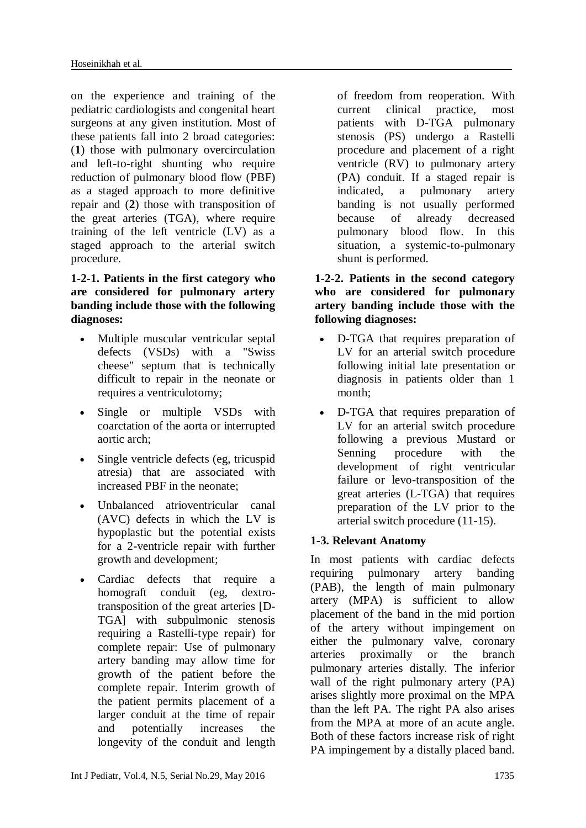on the experience and training of the pediatric cardiologists and congenital heart surgeons at any given institution. Most of these patients fall into 2 broad categories: (**1**) those with pulmonary overcirculation and left-to-right shunting who require reduction of pulmonary blood flow (PBF) as a staged approach to more definitive repair and (**2**) those with transposition of the great arteries (TGA), where require training of the left ventricle (LV) as a staged approach to the arterial switch procedure.

### **1-2-1. Patients in the first category who are considered for pulmonary artery banding include those with the following diagnoses:**

- Multiple muscular ventricular septal defects (VSDs) with a "Swiss cheese" septum that is technically difficult to repair in the neonate or requires a ventriculotomy;
- Single or multiple VSDs with coarctation of the aorta or interrupted aortic arch;
- Single ventricle defects (eg, tricuspid atresia) that are associated with increased PBF in the neonate;
- Unbalanced atrioventricular canal (AVC) defects in which the LV is hypoplastic but the potential exists for a 2-ventricle repair with further growth and development;
- Cardiac defects that require a homograft conduit (eg, dextrotransposition of the great arteries [D-TGA] with subpulmonic stenosis requiring a Rastelli-type repair) for complete repair: Use of pulmonary artery banding may allow time for growth of the patient before the complete repair. Interim growth of the patient permits placement of a larger conduit at the time of repair and potentially increases the longevity of the conduit and length

of freedom from reoperation. With current clinical practice, most patients with D-TGA pulmonary stenosis (PS) undergo a Rastelli procedure and placement of a right ventricle (RV) to pulmonary artery (PA) conduit. If a staged repair is indicated, a pulmonary artery banding is not usually performed because of already decreased pulmonary blood flow. In this situation, a systemic-to-pulmonary shunt is performed.

### **1-2-2. Patients in the second category who are considered for pulmonary artery banding include those with the following diagnoses:**

- D-TGA that requires preparation of LV for an arterial switch procedure following initial late presentation or diagnosis in patients older than 1 month;
- D-TGA that requires preparation of LV for an arterial switch procedure following a previous Mustard or Senning procedure with the development of right ventricular failure or levo-transposition of the great arteries (L-TGA) that requires preparation of the LV prior to the arterial switch procedure (11-15).

# **1-3. Relevant Anatomy**

In most patients with cardiac defects requiring pulmonary artery banding (PAB), the length of main pulmonary artery (MPA) is sufficient to allow placement of the band in the mid portion of the artery without impingement on either the pulmonary valve, coronary arteries proximally or the branch pulmonary arteries distally. The inferior wall of the right pulmonary artery (PA) arises slightly more proximal on the MPA than the left PA. The right PA also arises from the MPA at more of an acute angle. Both of these factors increase risk of right PA impingement by a distally placed band.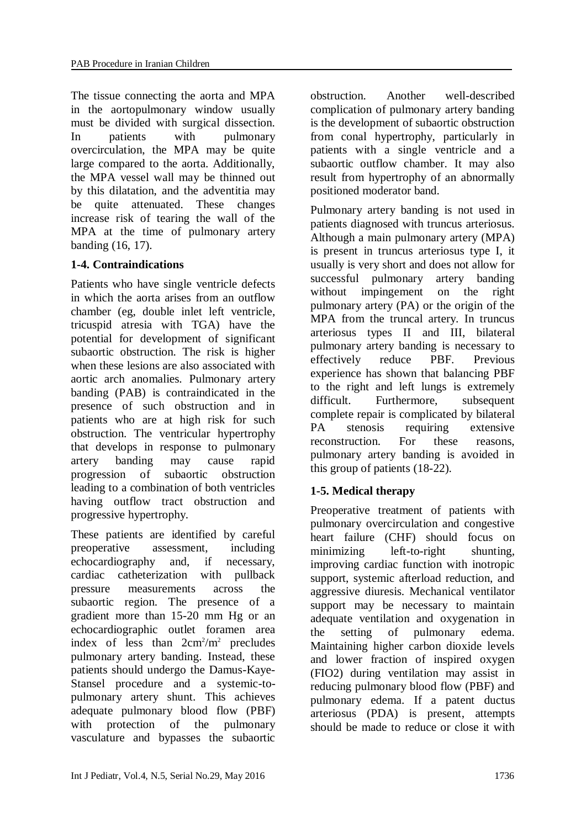The tissue connecting the aorta and MPA in the aortopulmonary window usually must be divided with surgical dissection. In patients with pulmonary overcirculation, the MPA may be quite large compared to the aorta. Additionally, the MPA vessel wall may be thinned out by this dilatation, and the adventitia may be quite attenuated. These changes increase risk of tearing the wall of the MPA at the time of pulmonary artery banding (16, 17).

### **1-4. Contraindications**

Patients who have single ventricle defects in which the aorta arises from an outflow chamber (eg, double inlet left ventricle, tricuspid atresia with TGA) have the potential for development of significant subaortic obstruction. The risk is higher when these lesions are also associated with aortic arch anomalies. Pulmonary artery banding (PAB) is contraindicated in the presence of such obstruction and in patients who are at high risk for such obstruction. The ventricular hypertrophy that develops in response to pulmonary artery banding may cause rapid progression of subaortic obstruction leading to a combination of both ventricles having outflow tract obstruction and progressive hypertrophy.

These patients are identified by careful preoperative assessment, including echocardiography and, if necessary, cardiac catheterization with pullback pressure measurements across the subaortic region. The presence of a gradient more than 15-20 mm Hg or an echocardiographic outlet foramen area index of less than  $2cm^2/m^2$  precludes pulmonary artery banding. Instead, these patients should undergo the Damus-Kaye-Stansel procedure and a systemic-topulmonary artery shunt. This achieves adequate pulmonary blood flow (PBF) with protection of the pulmonary vasculature and bypasses the subaortic

obstruction. Another well-described complication of pulmonary artery banding is the development of subaortic obstruction from conal hypertrophy, particularly in patients with a single ventricle and a subaortic outflow chamber. It may also result from hypertrophy of an abnormally positioned moderator band.

Pulmonary artery banding is not used in patients diagnosed with truncus arteriosus. Although a main pulmonary artery (MPA) is present in truncus arteriosus type I, it usually is very short and does not allow for successful pulmonary artery banding without impingement on the right pulmonary artery (PA) or the origin of the MPA from the truncal artery. In truncus arteriosus types II and III, bilateral pulmonary artery banding is necessary to effectively reduce PBF. Previous experience has shown that balancing PBF to the right and left lungs is extremely difficult. Furthermore, subsequent complete repair is complicated by bilateral PA stenosis requiring extensive reconstruction. For these reasons, pulmonary artery banding is avoided in this group of patients (18-22).

# **1-5. Medical therapy**

Preoperative treatment of patients with pulmonary overcirculation and congestive heart failure (CHF) should focus on minimizing left-to-right shunting, improving cardiac function with inotropic support, systemic afterload reduction, and aggressive diuresis. Mechanical ventilator support may be necessary to maintain adequate ventilation and oxygenation in the setting of pulmonary edema. Maintaining higher carbon dioxide levels and lower fraction of inspired oxygen (FIO2) during ventilation may assist in reducing pulmonary blood flow (PBF) and pulmonary edema. If a patent ductus arteriosus (PDA) is present, attempts should be made to reduce or close it with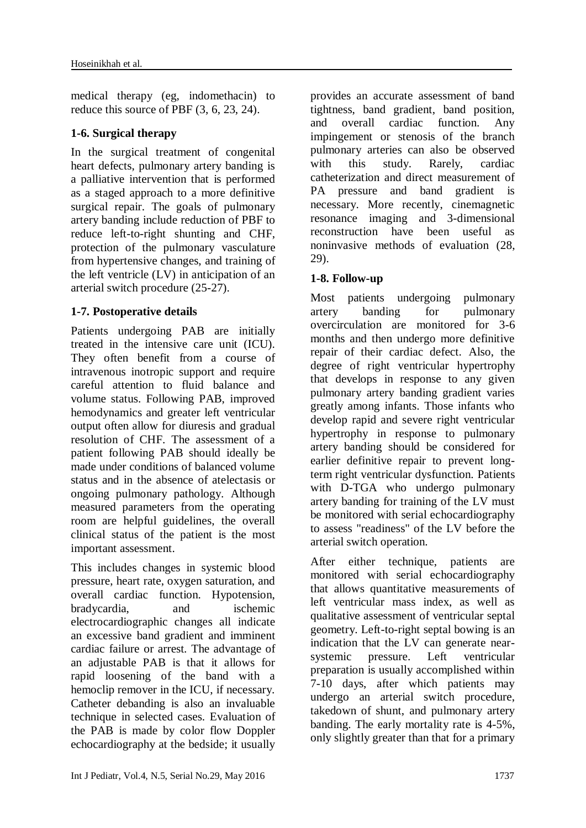medical therapy (eg, indomethacin) to reduce this source of PBF (3, 6, 23, 24).

### **1-6. Surgical therapy**

In the surgical treatment of congenital heart defects, pulmonary artery banding is a palliative intervention that is performed as a staged approach to a more definitive surgical repair. The goals of pulmonary artery banding include reduction of PBF to reduce left-to-right shunting and CHF, protection of the pulmonary vasculature from hypertensive changes, and training of the left ventricle (LV) in anticipation of an arterial switch procedure (25-27).

# **1-7. Postoperative details**

Patients undergoing PAB are initially treated in the intensive care unit (ICU). They often benefit from a course of intravenous inotropic support and require careful attention to fluid balance and volume status. Following PAB, improved hemodynamics and greater left ventricular output often allow for diuresis and gradual resolution of CHF. The assessment of a patient following PAB should ideally be made under conditions of balanced volume status and in the absence of atelectasis or ongoing pulmonary pathology. Although measured parameters from the operating room are helpful guidelines, the overall clinical status of the patient is the most important assessment.

This includes changes in systemic blood pressure, heart rate, oxygen saturation, and overall cardiac function. Hypotension, bradycardia, and ischemic electrocardiographic changes all indicate an excessive band gradient and imminent cardiac failure or arrest. The advantage of an adjustable PAB is that it allows for rapid loosening of the band with a hemoclip remover in the ICU, if necessary. Catheter debanding is also an invaluable technique in selected cases. Evaluation of the PAB is made by color flow Doppler echocardiography at the bedside; it usually

provides an accurate assessment of band tightness, band gradient, band position, and overall cardiac function. Any impingement or stenosis of the branch pulmonary arteries can also be observed with this study. Rarely, cardiac catheterization and direct measurement of PA pressure and band gradient is necessary. More recently, cinemagnetic resonance imaging and 3-dimensional reconstruction have been useful as noninvasive methods of evaluation (28, 29).

# **1-8. Follow-up**

Most patients undergoing pulmonary artery banding for pulmonary overcirculation are monitored for 3-6 months and then undergo more definitive repair of their cardiac defect. Also, the degree of right ventricular hypertrophy that develops in response to any given pulmonary artery banding gradient varies greatly among infants. Those infants who develop rapid and severe right ventricular hypertrophy in response to pulmonary artery banding should be considered for earlier definitive repair to prevent longterm right ventricular dysfunction. Patients with D-TGA who undergo pulmonary artery banding for training of the LV must be monitored with serial echocardiography to assess "readiness" of the LV before the arterial switch operation.

After either technique, patients are monitored with serial echocardiography that allows quantitative measurements of left ventricular mass index, as well as qualitative assessment of ventricular septal geometry. Left-to-right septal bowing is an indication that the LV can generate nearsystemic pressure. Left ventricular preparation is usually accomplished within 7-10 days, after which patients may undergo an arterial switch procedure, takedown of shunt, and pulmonary artery banding. The early mortality rate is 4-5%, only slightly greater than that for a primary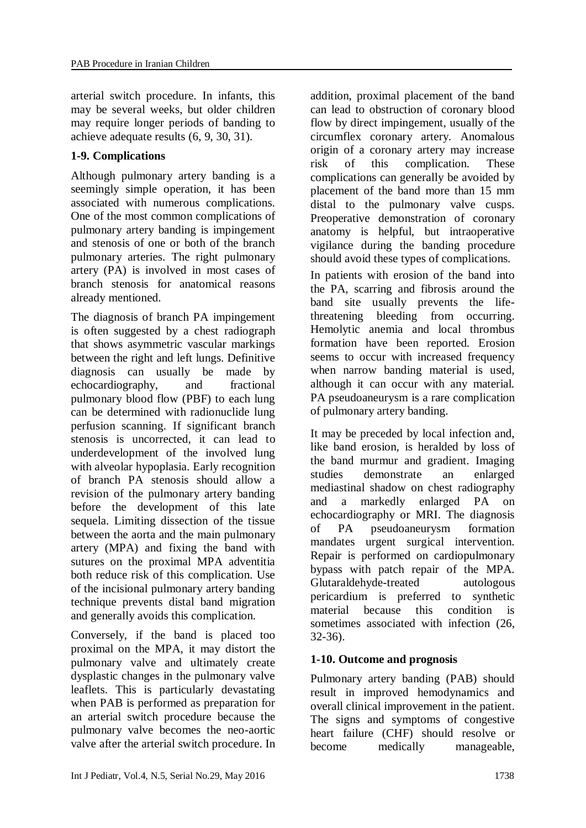arterial switch procedure. In infants, this may be several weeks, but older children may require longer periods of banding to achieve adequate results (6, 9, 30, 31).

## **1-9. Complications**

Although pulmonary artery banding is a seemingly simple operation, it has been associated with numerous complications. One of the most common complications of pulmonary artery banding is impingement and stenosis of one or both of the branch pulmonary arteries. The right pulmonary artery (PA) is involved in most cases of branch stenosis for anatomical reasons already mentioned.

The diagnosis of branch PA impingement is often suggested by a chest radiograph that shows asymmetric vascular markings between the right and left lungs. Definitive diagnosis can usually be made by echocardiography, and fractional pulmonary blood flow (PBF) to each lung can be determined with radionuclide lung perfusion scanning. If significant branch stenosis is uncorrected, it can lead to underdevelopment of the involved lung with alveolar hypoplasia. Early recognition of branch PA stenosis should allow a revision of the pulmonary artery banding before the development of this late sequela. Limiting dissection of the tissue between the aorta and the main pulmonary artery (MPA) and fixing the band with sutures on the proximal MPA adventitia both reduce risk of this complication. Use of the incisional pulmonary artery banding technique prevents distal band migration and generally avoids this complication.

Conversely, if the band is placed too proximal on the MPA, it may distort the pulmonary valve and ultimately create dysplastic changes in the pulmonary valve leaflets. This is particularly devastating when PAB is performed as preparation for an arterial switch procedure because the pulmonary valve becomes the neo-aortic valve after the arterial switch procedure. In

addition, proximal placement of the band can lead to obstruction of coronary blood flow by direct impingement, usually of the circumflex coronary artery. Anomalous origin of a coronary artery may increase risk of this complication. These complications can generally be avoided by placement of the band more than 15 mm distal to the pulmonary valve cusps. Preoperative demonstration of coronary anatomy is helpful, but intraoperative vigilance during the banding procedure should avoid these types of complications.

In patients with erosion of the band into the PA, scarring and fibrosis around the band site usually prevents the lifethreatening bleeding from occurring. Hemolytic anemia and local thrombus formation have been reported. Erosion seems to occur with increased frequency when narrow banding material is used, although it can occur with any material. PA pseudoaneurysm is a rare complication of pulmonary artery banding.

It may be preceded by local infection and, like band erosion, is heralded by loss of the band murmur and gradient. Imaging studies demonstrate an enlarged mediastinal shadow on chest radiography and a markedly enlarged PA on echocardiography or MRI. The diagnosis of PA pseudoaneurysm formation mandates urgent surgical intervention. Repair is performed on cardiopulmonary bypass with patch repair of the MPA. Glutaraldehyde-treated autologous pericardium is preferred to synthetic material because this condition is sometimes associated with infection  $(26, 26)$ 32-36).

### **1-10. Outcome and prognosis**

Pulmonary artery banding (PAB) should result in improved hemodynamics and overall clinical improvement in the patient. The signs and symptoms of congestive heart failure (CHF) should resolve or become medically manageable,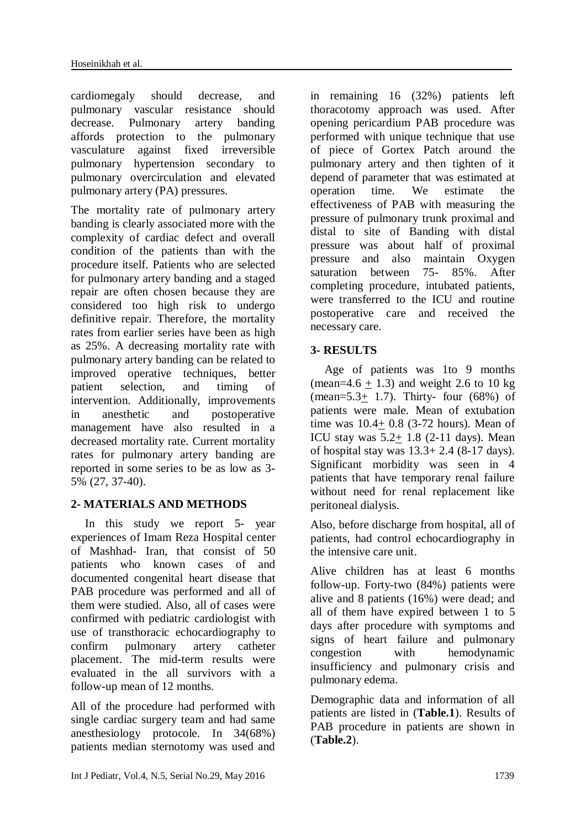cardiomegaly should decrease, and pulmonary vascular resistance should decrease. Pulmonary artery banding affords protection to the pulmonary vasculature against fixed irreversible pulmonary hypertension secondary to pulmonary overcirculation and elevated pulmonary artery (PA) pressures.

The mortality rate of pulmonary artery banding is clearly associated more with the complexity of cardiac defect and overall condition of the patients than with the procedure itself. Patients who are selected for pulmonary artery banding and a staged repair are often chosen because they are considered too high risk to undergo definitive repair. Therefore, the mortality rates from earlier series have been as high as 25%. A decreasing mortality rate with pulmonary artery banding can be related to improved operative techniques, better patient selection, and timing of intervention. Additionally, improvements in anesthetic and postoperative management have also resulted in a decreased mortality rate. Current mortality rates for pulmonary artery banding are reported in some series to be as low as 3- 5% (27, 37-40).

### **2- MATERIALS AND METHODS**

In this study we report 5- year experiences of Imam Reza Hospital center of Mashhad- Iran, that consist of 50 patients who known cases of and documented congenital heart disease that PAB procedure was performed and all of them were studied. Also, all of cases were confirmed with pediatric cardiologist with use of transthoracic echocardiography to confirm pulmonary artery catheter placement. The mid-term results were evaluated in the all survivors with a follow-up mean of 12 months.

All of the procedure had performed with single cardiac surgery team and had same anesthesiology protocole. In 34(68%) patients median sternotomy was used and

in remaining 16 (32%) patients left thoracotomy approach was used. After opening pericardium PAB procedure was performed with unique technique that use of piece of Gortex Patch around the pulmonary artery and then tighten of it depend of parameter that was estimated at operation time. We estimate the effectiveness of PAB with measuring the pressure of pulmonary trunk proximal and distal to site of Banding with distal pressure was about half of proximal pressure and also maintain Oxygen saturation between 75- 85%. After completing procedure, intubated patients, were transferred to the ICU and routine postoperative care and received the necessary care.

### **3- RESULTS**

Age of patients was 1to 9 months (mean=4.6 + 1.3) and weight 2.6 to 10 kg (mean= $5.3+1.7$ ). Thirty- four (68%) of patients were male. Mean of extubation time was 10.4+ 0.8 (3-72 hours). Mean of ICU stay was  $5.2+1.8$  (2-11 days). Mean of hospital stay was  $13.3+2.4$  (8-17 days). Significant morbidity was seen in 4 patients that have temporary renal failure without need for renal replacement like peritoneal dialysis.

Also, before discharge from hospital, all of patients, had control echocardiography in the intensive care unit.

Alive children has at least 6 months follow-up. Forty-two (84%) patients were alive and 8 patients (16%) were dead; and all of them have expired between 1 to 5 days after procedure with symptoms and signs of heart failure and pulmonary congestion with hemodynamic insufficiency and pulmonary crisis and pulmonary edema.

Demographic data and information of all patients are listed in (**Table.1**). Results of PAB procedure in patients are shown in (**Table.2**).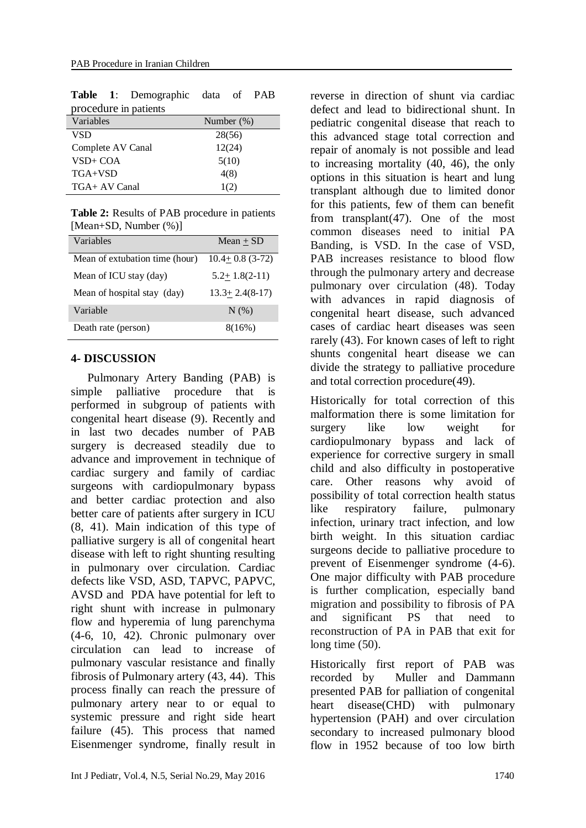| procedure in patients |               |
|-----------------------|---------------|
| Variables             | Number $(\%)$ |
| <b>VSD</b>            | 28(56)        |
| Complete AV Canal     | 12(24)        |
| $VSD+COA$             | 5(10)         |
| $TGA+VSD$             | 4(8)          |
| TGA+ AV Canal         | 1(2)          |

**Table 1**: Demographic data of PAB

**Table 2:** Results of PAB procedure in patients [Mean+SD, Number  $(\%)$ ]

| Variables                      | $Mean + SD$         |
|--------------------------------|---------------------|
| Mean of extubation time (hour) | $10.4 + 0.8$ (3-72) |
| Mean of ICU stay (day)         | $5.2+1.8(2-11)$     |
| Mean of hospital stay (day)    | $13.3 + 2.4(8-17)$  |
| Variable                       | $N(\%)$             |
| Death rate (person)            | 8(16%)              |

#### **4- DISCUSSION**

Pulmonary Artery Banding (PAB) is simple palliative procedure that is performed in subgroup of patients with congenital heart disease (9). Recently and in last two decades number of PAB surgery is decreased steadily due to advance and improvement in technique of cardiac surgery and family of cardiac surgeons with cardiopulmonary bypass and better cardiac protection and also better care of patients after surgery in ICU (8, 41). Main indication of this type of palliative surgery is all of congenital heart disease with left to right shunting resulting in pulmonary over circulation. Cardiac defects like VSD, ASD, TAPVC, PAPVC, AVSD and PDA have potential for left to right shunt with increase in pulmonary flow and hyperemia of lung parenchyma (4-6, 10, 42). Chronic pulmonary over circulation can lead to increase of pulmonary vascular resistance and finally fibrosis of Pulmonary artery (43, 44). This process finally can reach the pressure of pulmonary artery near to or equal to systemic pressure and right side heart failure (45). This process that named Eisenmenger syndrome, finally result in reverse in direction of shunt via cardiac defect and lead to bidirectional shunt. In pediatric congenital disease that reach to this advanced stage total correction and repair of anomaly is not possible and lead to increasing mortality (40, 46), the only options in this situation is heart and lung transplant although due to limited donor for this patients, few of them can benefit from transplant(47). One of the most common diseases need to initial PA Banding, is VSD. In the case of VSD, PAB increases resistance to blood flow through the pulmonary artery and decrease pulmonary over circulation (48). Today with advances in rapid diagnosis of congenital heart disease, such advanced cases of cardiac heart diseases was seen rarely (43). For known cases of left to right shunts congenital heart disease we can divide the strategy to palliative procedure and total correction procedure(49).

Historically for total correction of this malformation there is some limitation for surgery like low weight for cardiopulmonary bypass and lack of experience for corrective surgery in small child and also difficulty in postoperative care. Other reasons why avoid of possibility of total correction health status like respiratory failure, pulmonary infection, urinary tract infection, and low birth weight. In this situation cardiac surgeons decide to palliative procedure to prevent of Eisenmenger syndrome (4-6). One major difficulty with PAB procedure is further complication, especially band migration and possibility to fibrosis of PA and significant PS that need to reconstruction of PA in PAB that exit for long time  $(50)$ .

Historically first report of PAB was recorded by Muller and Dammann presented PAB for palliation of congenital heart disease(CHD) with pulmonary hypertension (PAH) and over circulation secondary to increased pulmonary blood flow in 1952 because of too low birth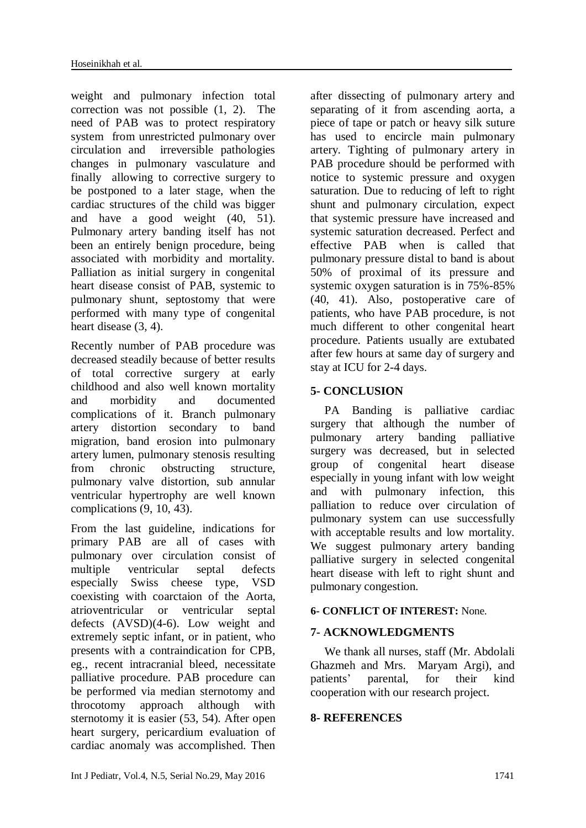weight and pulmonary infection total correction was not possible (1, 2). The need of PAB was to protect respiratory system from unrestricted pulmonary over circulation and irreversible pathologies changes in pulmonary vasculature and finally allowing to corrective surgery to be postponed to a later stage, when the cardiac structures of the child was bigger and have a good weight (40, 51). Pulmonary artery banding itself has not been an entirely benign procedure, being associated with morbidity and mortality. Palliation as initial surgery in congenital heart disease consist of PAB, systemic to pulmonary shunt, septostomy that were performed with many type of congenital heart disease (3, 4).

Recently number of PAB procedure was decreased steadily because of better results of total corrective surgery at early childhood and also well known mortality and morbidity and documented complications of it. Branch pulmonary artery distortion secondary to band migration, band erosion into pulmonary artery lumen, pulmonary stenosis resulting from chronic obstructing structure, pulmonary valve distortion, sub annular ventricular hypertrophy are well known complications (9, 10, 43).

From the last guideline, indications for primary PAB are all of cases with pulmonary over circulation consist of multiple ventricular septal defects especially Swiss cheese type, VSD coexisting with coarctaion of the Aorta, atrioventricular or ventricular septal defects (AVSD)(4-6). Low weight and extremely septic infant, or in patient, who presents with a contraindication for CPB, eg., recent intracranial bleed, necessitate palliative procedure. PAB procedure can be performed via median sternotomy and throcotomy approach although with sternotomy it is easier (53, 54). After open heart surgery, pericardium evaluation of cardiac anomaly was accomplished. Then

after dissecting of pulmonary artery and separating of it from ascending aorta, a piece of tape or patch or heavy silk suture has used to encircle main pulmonary artery. Tighting of pulmonary artery in PAB procedure should be performed with notice to systemic pressure and oxygen saturation. Due to reducing of left to right shunt and pulmonary circulation, expect that systemic pressure have increased and systemic saturation decreased. Perfect and effective PAB when is called that pulmonary pressure distal to band is about 50% of proximal of its pressure and systemic oxygen saturation is in 75%-85% (40, 41). Also, postoperative care of patients, who have PAB procedure, is not much different to other congenital heart procedure. Patients usually are extubated after few hours at same day of surgery and stay at ICU for 2-4 days.

# **5- CONCLUSION**

PA Banding is palliative cardiac surgery that although the number of pulmonary artery banding palliative surgery was decreased, but in selected group of congenital heart disease especially in young infant with low weight and with pulmonary infection, this palliation to reduce over circulation of pulmonary system can use successfully with acceptable results and low mortality. We suggest pulmonary artery banding palliative surgery in selected congenital heart disease with left to right shunt and pulmonary congestion.

### **6- CONFLICT OF INTEREST:** None.

# **7- ACKNOWLEDGMENTS**

We thank all nurses, staff (Mr. Abdolali Ghazmeh and Mrs. Maryam Argi), and patients' parental, for their kind cooperation with our research project*.*

### **8- REFERENCES**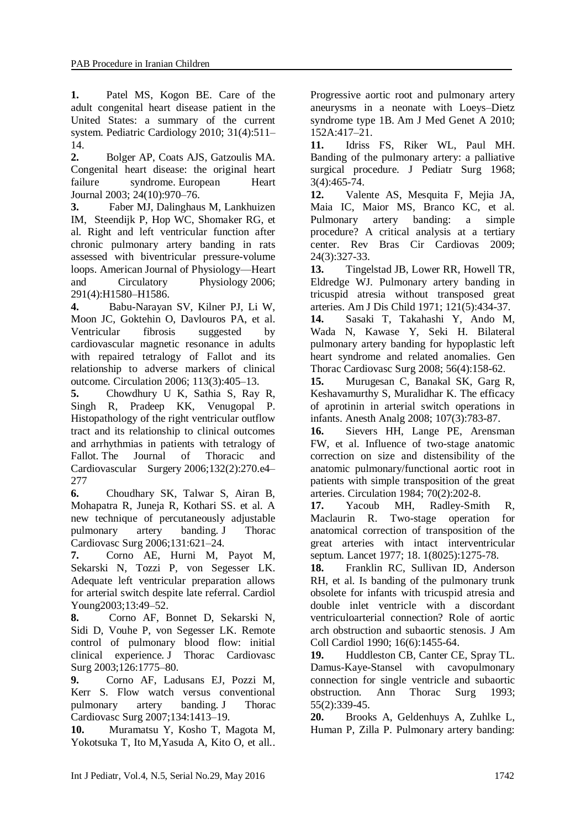**1.** Patel MS, Kogon BE. Care of the adult congenital heart disease patient in the United States: a summary of the current system. Pediatric Cardiology 2010; 31(4):511– 14.

**2.** Bolger AP, Coats AJS, Gatzoulis MA. Congenital heart disease: the original heart failure syndrome. European Heart Journal 2003; 24(10):970–76.

**3.** Faber MJ, Dalinghaus M, Lankhuizen IM, Steendijk P, Hop WC, Shomaker RG, et al. Right and left ventricular function after chronic pulmonary artery banding in rats assessed with biventricular pressure-volume loops. American Journal of Physiology—Heart and Circulatory Physiology 2006; 291(4):H1580–H1586.

**4.** Babu-Narayan SV, Kilner PJ, Li W, Moon JC, Goktehin O, Davlouros PA, et al. Ventricular fibrosis suggested by cardiovascular magnetic resonance in adults with repaired tetralogy of Fallot and its relationship to adverse markers of clinical outcome. Circulation 2006; 113(3):405–13.

**5.** Chowdhury U K, Sathia S, Ray R, Singh R, Pradeep KK, Venugopal P. Histopathology of the right ventricular outflow tract and its relationship to clinical outcomes and arrhythmias in patients with tetralogy of Fallot. The Journal of Thoracic and Cardiovascular Surgery 2006;132(2):270.e4– 277

**6.** Choudhary SK, Talwar S, Airan B, Mohapatra R, Juneja R, Kothari SS. et al. A new technique of percutaneously adjustable pulmonary artery banding. J Thorac Cardiovasc Surg 2006;131:621–24.

**7.** Corno AE, Hurni M, Payot M, Sekarski N, Tozzi P, von Segesser LK. Adequate left ventricular preparation allows for arterial switch despite late referral. Cardiol Young2003;13:49–52.

**8.** Corno AF, Bonnet D, Sekarski N, Sidi D, Vouhe P, von Segesser LK. Remote control of pulmonary blood flow: initial clinical experience. J Thorac Cardiovasc Surg 2003;126:1775–80.

**9.** Corno AF, Ladusans EJ, Pozzi M, Kerr S. Flow watch versus conventional pulmonary artery banding. J Thorac Cardiovasc Surg 2007;134:1413–19.

**10.** Muramatsu Y, Kosho T, Magota M, Yokotsuka T, Ito M,Yasuda A, Kito O, et all..

Progressive aortic root and pulmonary artery aneurysms in a neonate with Loeys–Dietz syndrome type 1B. Am J Med Genet A 2010; 152A:417–21.

**11.** Idriss FS, Riker WL, Paul MH. Banding of the pulmonary artery: a palliative surgical procedure. J Pediatr Surg 1968; 3(4):465-74.

**12.** Valente AS, Mesquita F, Mejia JA, Maia IC, Maior MS, Branco KC, et al. Pulmonary artery banding: a simple procedure? A critical analysis at a tertiary center. Rev Bras Cir Cardiovas 2009; 24(3):327-33.

**13.** Tingelstad JB, Lower RR, Howell TR, Eldredge WJ. Pulmonary artery banding in tricuspid atresia without transposed great arteries. Am J Dis Child 1971; 121(5):434-37.

**14.** Sasaki T, Takahashi Y, Ando M, Wada N, Kawase Y, Seki H. Bilateral pulmonary artery banding for hypoplastic left heart syndrome and related anomalies. Gen Thorac Cardiovasc Surg 2008; 56(4):158-62.

**15.** Murugesan C, Banakal SK, Garg R, Keshavamurthy S, Muralidhar K. The efficacy of aprotinin in arterial switch operations in infants. Anesth Analg 2008; 107(3):783-87.

**16.** Sievers HH, Lange PE, Arensman FW, et al. Influence of two-stage anatomic correction on size and distensibility of the anatomic pulmonary/functional aortic root in patients with simple transposition of the great arteries. Circulation 1984; 70(2):202-8.

**17.** Yacoub MH, Radley-Smith R, Maclaurin R. Two-stage operation for anatomical correction of transposition of the great arteries with intact interventricular septum. Lancet 1977; 18. 1(8025):1275-78.

**18.** Franklin RC, Sullivan ID, Anderson RH, et al. Is banding of the pulmonary trunk obsolete for infants with tricuspid atresia and double inlet ventricle with a discordant ventriculoarterial connection? Role of aortic arch obstruction and subaortic stenosis. J Am Coll Cardiol 1990; 16(6):1455-64.

**19.** Huddleston CB, Canter CE, Spray TL. Damus-Kaye-Stansel with cavopulmonary connection for single ventricle and subaortic obstruction. Ann Thorac Surg 1993; 55(2):339-45.

**20.** Brooks A, Geldenhuys A, Zuhlke L, Human P, Zilla P. Pulmonary artery banding: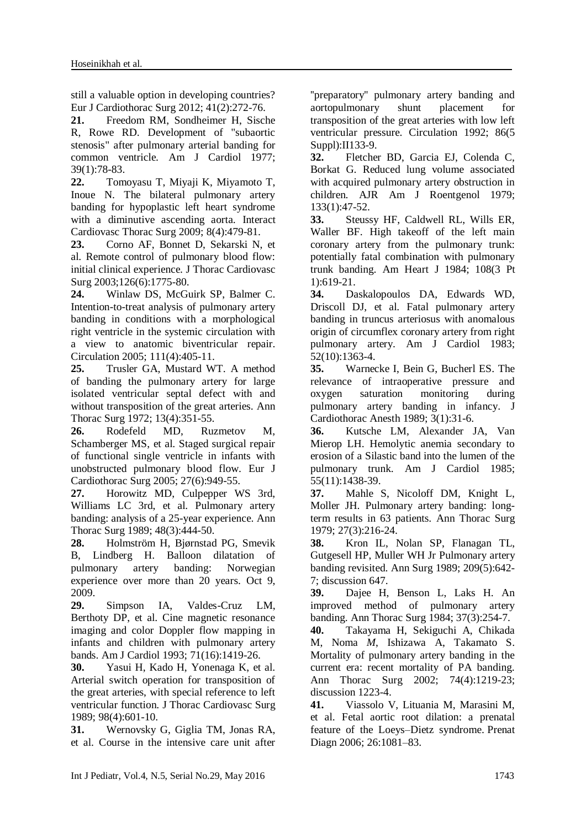still a valuable option in developing countries? Eur J Cardiothorac Surg 2012; 41(2):272-76.

**21.** Freedom RM, Sondheimer H, Sische R, Rowe RD. Development of "subaortic stenosis" after pulmonary arterial banding for common ventricle. Am J Cardiol 1977; 39(1):78-83.

**22.** Tomoyasu T, Miyaji K, Miyamoto T, Inoue N. The bilateral pulmonary artery banding for hypoplastic left heart syndrome with a diminutive ascending aorta. Interact Cardiovasc Thorac Surg 2009; 8(4):479-81.

**23.** Corno AF, Bonnet D, Sekarski N, et al. Remote control of pulmonary blood flow: initial clinical experience. J Thorac Cardiovasc Surg 2003;126(6):1775-80.

**24.** Winlaw DS, McGuirk SP, Balmer C. Intention-to-treat analysis of pulmonary artery banding in conditions with a morphological right ventricle in the systemic circulation with a view to anatomic biventricular repair. Circulation 2005; 111(4):405-11.

**25.** Trusler GA, Mustard WT. A method of banding the pulmonary artery for large isolated ventricular septal defect with and without transposition of the great arteries. Ann Thorac Surg 1972; 13(4):351-55.

**26.** Rodefeld MD, Ruzmetov M, Schamberger MS, et al. Staged surgical repair of functional single ventricle in infants with unobstructed pulmonary blood flow. Eur J Cardiothorac Surg 2005; 27(6):949-55.

**27.** Horowitz MD, Culpepper WS 3rd, Williams LC 3rd, et al. Pulmonary artery banding: analysis of a 25-year experience. Ann Thorac Surg 1989; 48(3):444-50.

**28.** Holmström H, Bjørnstad PG, Smevik B, Lindberg H. Balloon dilatation of pulmonary artery banding: Norwegian experience over more than 20 years. Oct 9, 2009.

**29.** Simpson IA, Valdes-Cruz LM, Berthoty DP, et al. Cine magnetic resonance imaging and color Doppler flow mapping in infants and children with pulmonary artery bands. Am J Cardiol 1993; 71(16):1419-26.

**30.** Yasui H, Kado H, Yonenaga K, et al. Arterial switch operation for transposition of the great arteries, with special reference to left ventricular function. J Thorac Cardiovasc Surg 1989; 98(4):601-10.

**31.** Wernovsky G, Giglia TM, Jonas RA, et al. Course in the intensive care unit after

''preparatory'' pulmonary artery banding and aortopulmonary shunt placement for transposition of the great arteries with low left ventricular pressure. Circulation 1992; 86(5 Suppl):II133-9.

**32.** Fletcher BD, Garcia EJ, Colenda C, Borkat G. Reduced lung volume associated with acquired pulmonary artery obstruction in children. AJR Am J Roentgenol 1979; 133(1):47-52.

**33.** Steussy HF, Caldwell RL, Wills ER, Waller BF. High takeoff of the left main coronary artery from the pulmonary trunk: potentially fatal combination with pulmonary trunk banding. Am Heart J 1984; 108(3 Pt 1):619-21.

**34.** Daskalopoulos DA, Edwards WD, Driscoll DJ, et al. Fatal pulmonary artery banding in truncus arteriosus with anomalous origin of circumflex coronary artery from right pulmonary artery. Am J Cardiol 1983; 52(10):1363-4.

**35.** Warnecke I, Bein G, Bucherl ES. The relevance of intraoperative pressure and oxygen saturation monitoring during pulmonary artery banding in infancy. J Cardiothorac Anesth 1989; 3(1):31-6.

**36.** Kutsche LM, Alexander JA, Van Mierop LH. Hemolytic anemia secondary to erosion of a Silastic band into the lumen of the pulmonary trunk. Am J Cardiol 1985; 55(11):1438-39.

**37.** Mahle S, Nicoloff DM, Knight L, Moller JH. Pulmonary artery banding: longterm results in 63 patients. Ann Thorac Surg 1979; 27(3):216-24.

**38.** Kron IL, Nolan SP, Flanagan TL, Gutgesell HP, Muller WH Jr Pulmonary artery banding revisited. Ann Surg 1989; 209(5):642- 7; discussion 647.

**39.** Dajee H, Benson L, Laks H. An improved method of pulmonary artery banding. Ann Thorac Surg 1984; 37(3):254-7.

**40.** Takayama H, Sekiguchi A, Chikada M, Noma *M*, Ishizawa A, Takamato S. Mortality of pulmonary artery banding in the current era: recent mortality of PA banding. Ann Thorac Surg 2002; 74(4):1219-23; discussion 1223-4.

**41.** Viassolo V, Lituania M, Marasini M, et al. Fetal aortic root dilation: a prenatal feature of the Loeys–Dietz syndrome. Prenat Diagn 2006; 26:1081–83.